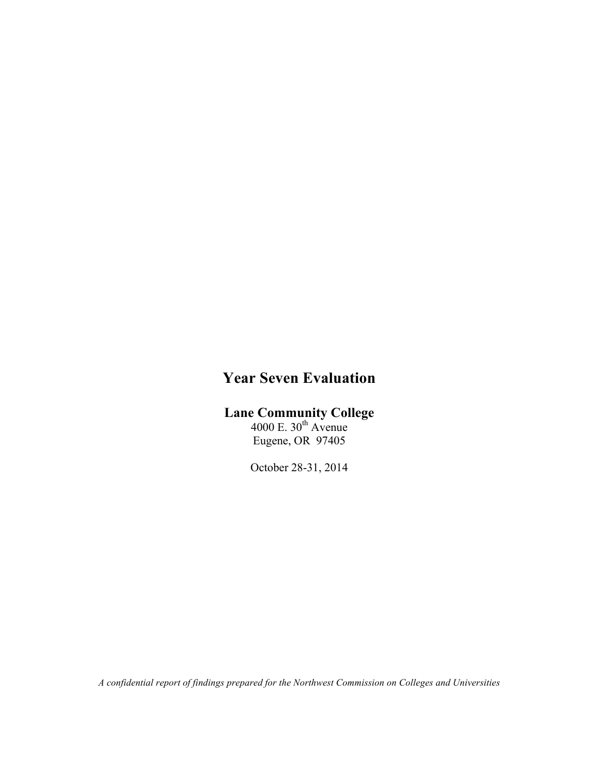# **Year Seven Evaluation**

# **Lane Community College**

 $4000$  E.  $30<sup>th</sup>$  Avenue Eugene, OR 97405

October 28-31, 2014

*A confidential report of findings prepared for the Northwest Commission on Colleges and Universities*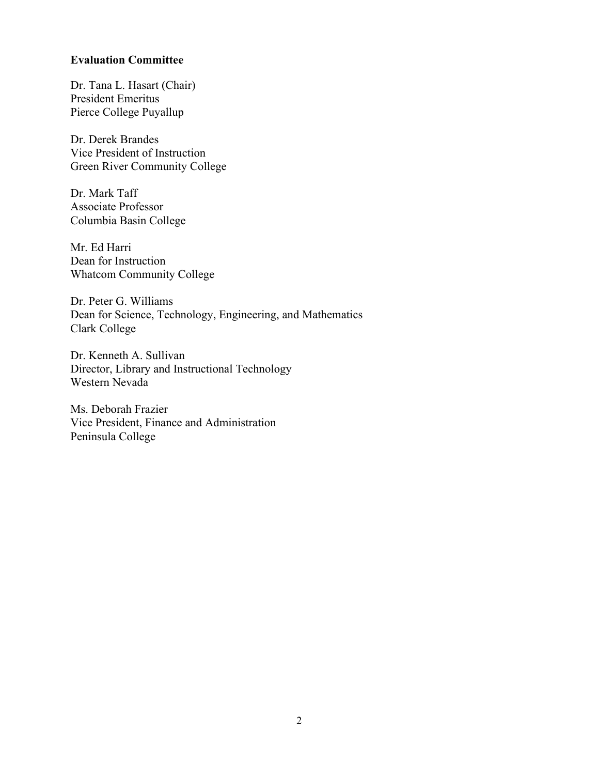#### **Evaluation Committee**

Dr. Tana L. Hasart (Chair) President Emeritus Pierce College Puyallup

Dr. Derek Brandes Vice President of Instruction Green River Community College

Dr. Mark Taff Associate Professor Columbia Basin College

Mr. Ed Harri Dean for Instruction Whatcom Community College

Dr. Peter G. Williams Dean for Science, Technology, Engineering, and Mathematics Clark College

Dr. Kenneth A. Sullivan Director, Library and Instructional Technology Western Nevada

Ms. Deborah Frazier Vice President, Finance and Administration Peninsula College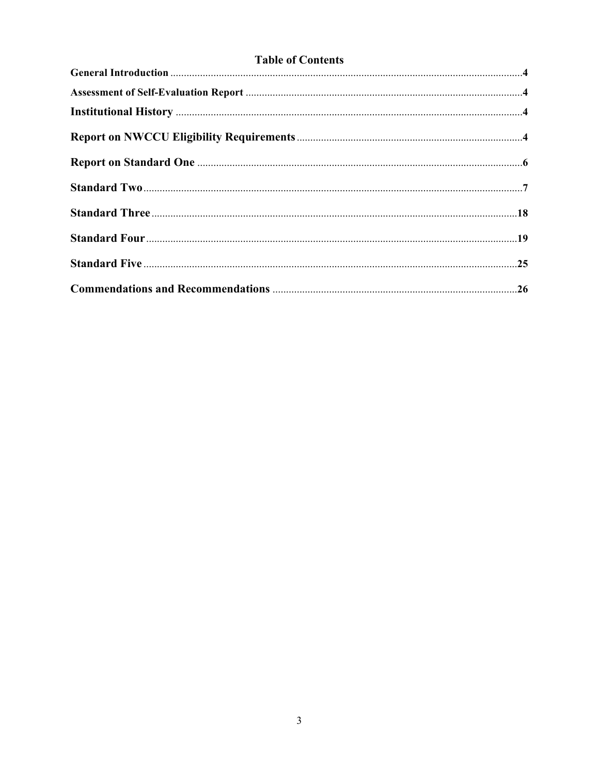|  | <b>Table of Contents</b> |
|--|--------------------------|
|  |                          |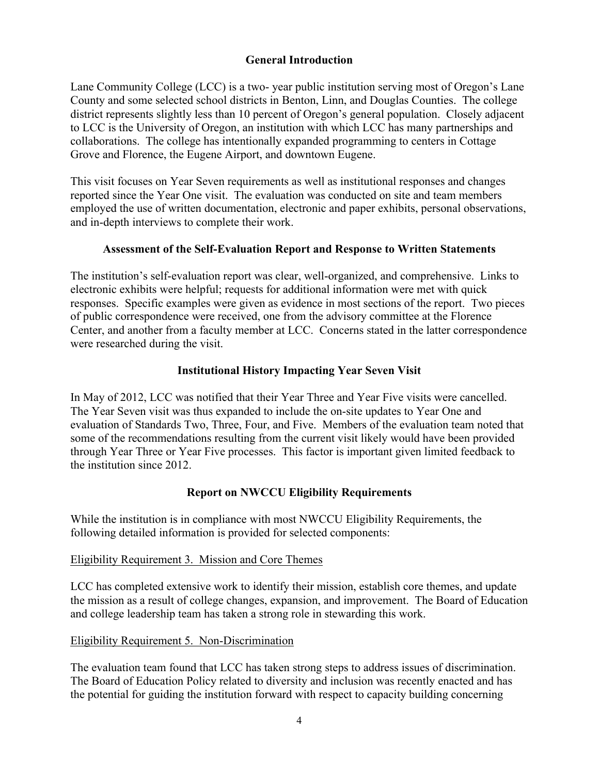# **General Introduction**

Lane Community College (LCC) is a two- year public institution serving most of Oregon's Lane County and some selected school districts in Benton, Linn, and Douglas Counties. The college district represents slightly less than 10 percent of Oregon's general population. Closely adjacent to LCC is the University of Oregon, an institution with which LCC has many partnerships and collaborations. The college has intentionally expanded programming to centers in Cottage Grove and Florence, the Eugene Airport, and downtown Eugene.

This visit focuses on Year Seven requirements as well as institutional responses and changes reported since the Year One visit. The evaluation was conducted on site and team members employed the use of written documentation, electronic and paper exhibits, personal observations, and in-depth interviews to complete their work.

### **Assessment of the Self-Evaluation Report and Response to Written Statements**

The institution's self-evaluation report was clear, well-organized, and comprehensive. Links to electronic exhibits were helpful; requests for additional information were met with quick responses. Specific examples were given as evidence in most sections of the report. Two pieces of public correspondence were received, one from the advisory committee at the Florence Center, and another from a faculty member at LCC. Concerns stated in the latter correspondence were researched during the visit.

## **Institutional History Impacting Year Seven Visit**

In May of 2012, LCC was notified that their Year Three and Year Five visits were cancelled. The Year Seven visit was thus expanded to include the on-site updates to Year One and evaluation of Standards Two, Three, Four, and Five. Members of the evaluation team noted that some of the recommendations resulting from the current visit likely would have been provided through Year Three or Year Five processes. This factor is important given limited feedback to the institution since 2012.

# **Report on NWCCU Eligibility Requirements**

While the institution is in compliance with most NWCCU Eligibility Requirements, the following detailed information is provided for selected components:

# Eligibility Requirement 3. Mission and Core Themes

LCC has completed extensive work to identify their mission, establish core themes, and update the mission as a result of college changes, expansion, and improvement. The Board of Education and college leadership team has taken a strong role in stewarding this work.

## Eligibility Requirement 5. Non-Discrimination

The evaluation team found that LCC has taken strong steps to address issues of discrimination. The Board of Education Policy related to diversity and inclusion was recently enacted and has the potential for guiding the institution forward with respect to capacity building concerning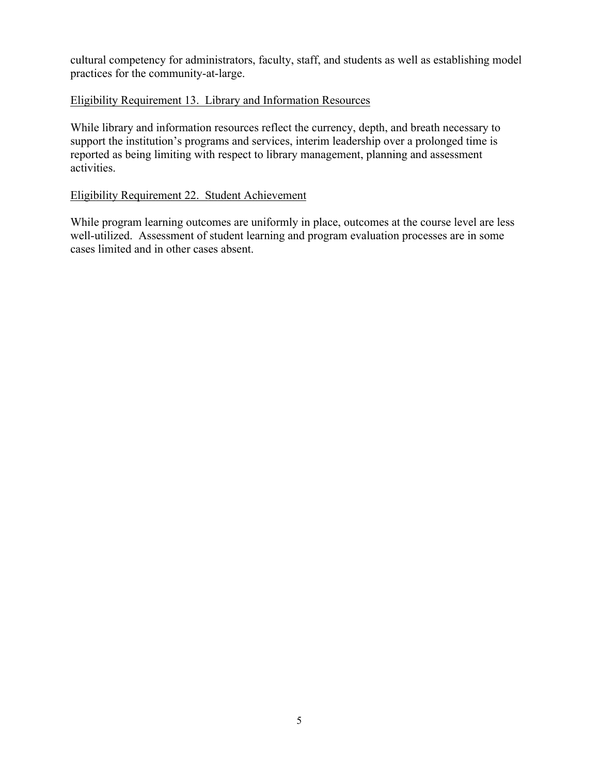cultural competency for administrators, faculty, staff, and students as well as establishing model practices for the community-at-large.

## Eligibility Requirement 13. Library and Information Resources

While library and information resources reflect the currency, depth, and breath necessary to support the institution's programs and services, interim leadership over a prolonged time is reported as being limiting with respect to library management, planning and assessment activities.

### Eligibility Requirement 22. Student Achievement

While program learning outcomes are uniformly in place, outcomes at the course level are less well-utilized. Assessment of student learning and program evaluation processes are in some cases limited and in other cases absent.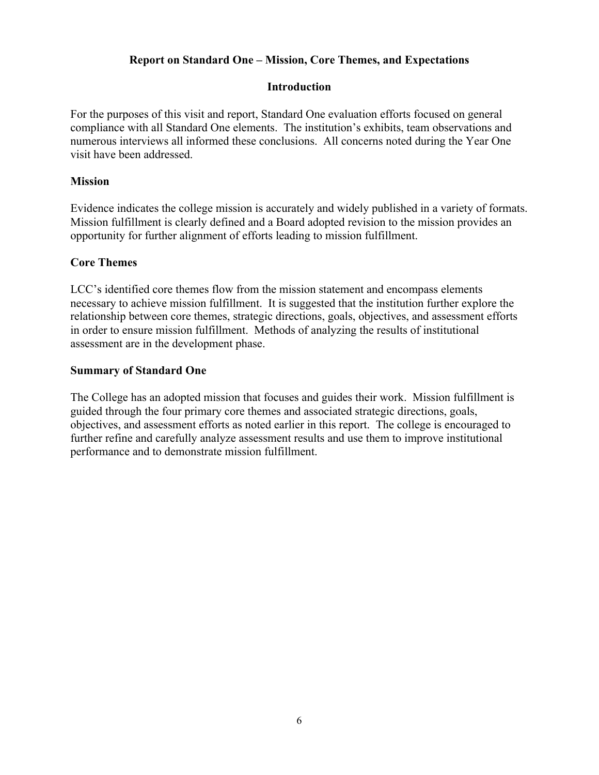# **Report on Standard One – Mission, Core Themes, and Expectations**

## **Introduction**

For the purposes of this visit and report, Standard One evaluation efforts focused on general compliance with all Standard One elements. The institution's exhibits, team observations and numerous interviews all informed these conclusions. All concerns noted during the Year One visit have been addressed.

## **Mission**

Evidence indicates the college mission is accurately and widely published in a variety of formats. Mission fulfillment is clearly defined and a Board adopted revision to the mission provides an opportunity for further alignment of efforts leading to mission fulfillment.

## **Core Themes**

LCC's identified core themes flow from the mission statement and encompass elements necessary to achieve mission fulfillment. It is suggested that the institution further explore the relationship between core themes, strategic directions, goals, objectives, and assessment efforts in order to ensure mission fulfillment. Methods of analyzing the results of institutional assessment are in the development phase.

## **Summary of Standard One**

The College has an adopted mission that focuses and guides their work. Mission fulfillment is guided through the four primary core themes and associated strategic directions, goals, objectives, and assessment efforts as noted earlier in this report. The college is encouraged to further refine and carefully analyze assessment results and use them to improve institutional performance and to demonstrate mission fulfillment.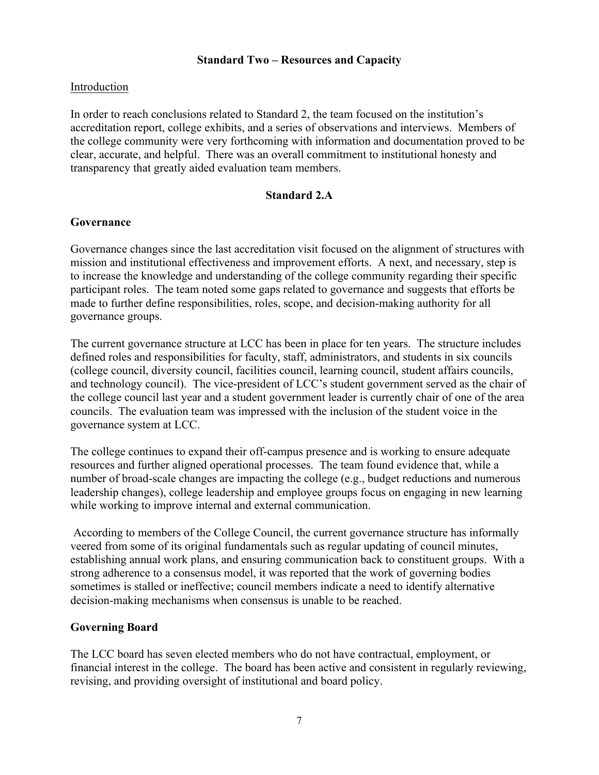## **Standard Two – Resources and Capacity**

# Introduction

In order to reach conclusions related to Standard 2, the team focused on the institution's accreditation report, college exhibits, and a series of observations and interviews. Members of the college community were very forthcoming with information and documentation proved to be clear, accurate, and helpful. There was an overall commitment to institutional honesty and transparency that greatly aided evaluation team members.

## **Standard 2.A**

### **Governance**

Governance changes since the last accreditation visit focused on the alignment of structures with mission and institutional effectiveness and improvement efforts. A next, and necessary, step is to increase the knowledge and understanding of the college community regarding their specific participant roles. The team noted some gaps related to governance and suggests that efforts be made to further define responsibilities, roles, scope, and decision-making authority for all governance groups.

The current governance structure at LCC has been in place for ten years. The structure includes defined roles and responsibilities for faculty, staff, administrators, and students in six councils (college council, diversity council, facilities council, learning council, student affairs councils, and technology council). The vice-president of LCC's student government served as the chair of the college council last year and a student government leader is currently chair of one of the area councils. The evaluation team was impressed with the inclusion of the student voice in the governance system at LCC.

The college continues to expand their off-campus presence and is working to ensure adequate resources and further aligned operational processes. The team found evidence that, while a number of broad-scale changes are impacting the college (e.g., budget reductions and numerous leadership changes), college leadership and employee groups focus on engaging in new learning while working to improve internal and external communication.

According to members of the College Council, the current governance structure has informally veered from some of its original fundamentals such as regular updating of council minutes, establishing annual work plans, and ensuring communication back to constituent groups. With a strong adherence to a consensus model, it was reported that the work of governing bodies sometimes is stalled or ineffective; council members indicate a need to identify alternative decision-making mechanisms when consensus is unable to be reached.

### **Governing Board**

The LCC board has seven elected members who do not have contractual, employment, or financial interest in the college. The board has been active and consistent in regularly reviewing, revising, and providing oversight of institutional and board policy.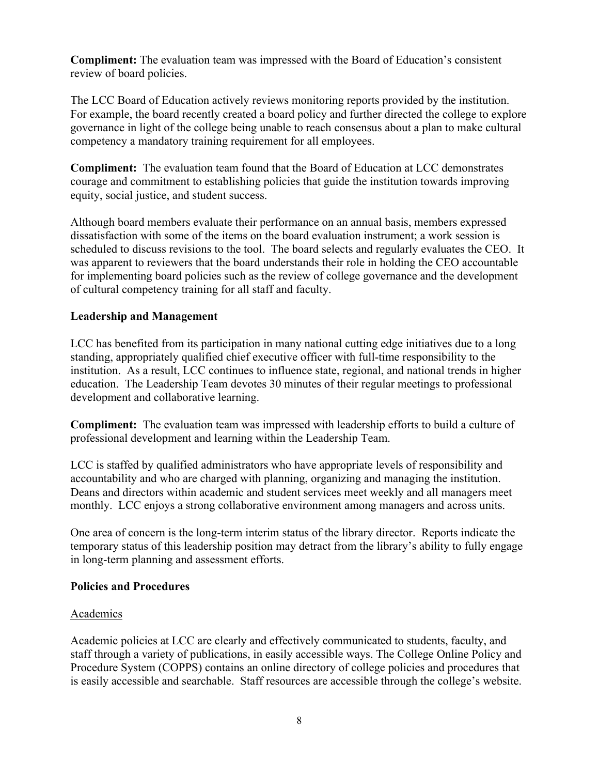**Compliment:** The evaluation team was impressed with the Board of Education's consistent review of board policies.

The LCC Board of Education actively reviews monitoring reports provided by the institution. For example, the board recently created a board policy and further directed the college to explore governance in light of the college being unable to reach consensus about a plan to make cultural competency a mandatory training requirement for all employees.

**Compliment:** The evaluation team found that the Board of Education at LCC demonstrates courage and commitment to establishing policies that guide the institution towards improving equity, social justice, and student success.

Although board members evaluate their performance on an annual basis, members expressed dissatisfaction with some of the items on the board evaluation instrument; a work session is scheduled to discuss revisions to the tool. The board selects and regularly evaluates the CEO. It was apparent to reviewers that the board understands their role in holding the CEO accountable for implementing board policies such as the review of college governance and the development of cultural competency training for all staff and faculty.

# **Leadership and Management**

LCC has benefited from its participation in many national cutting edge initiatives due to a long standing, appropriately qualified chief executive officer with full-time responsibility to the institution. As a result, LCC continues to influence state, regional, and national trends in higher education. The Leadership Team devotes 30 minutes of their regular meetings to professional development and collaborative learning.

**Compliment:** The evaluation team was impressed with leadership efforts to build a culture of professional development and learning within the Leadership Team.

LCC is staffed by qualified administrators who have appropriate levels of responsibility and accountability and who are charged with planning, organizing and managing the institution. Deans and directors within academic and student services meet weekly and all managers meet monthly. LCC enjoys a strong collaborative environment among managers and across units.

One area of concern is the long-term interim status of the library director. Reports indicate the temporary status of this leadership position may detract from the library's ability to fully engage in long-term planning and assessment efforts.

# **Policies and Procedures**

# Academics

Academic policies at LCC are clearly and effectively communicated to students, faculty, and staff through a variety of publications, in easily accessible ways. The College Online Policy and Procedure System (COPPS) contains an online directory of college policies and procedures that is easily accessible and searchable. Staff resources are accessible through the college's website.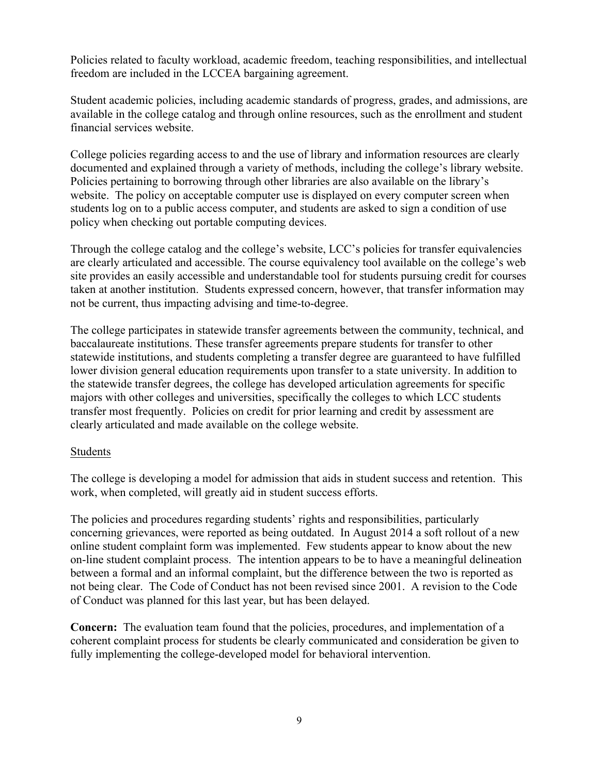Policies related to faculty workload, academic freedom, teaching responsibilities, and intellectual freedom are included in the LCCEA bargaining agreement.

Student academic policies, including academic standards of progress, grades, and admissions, are available in the college catalog and through online resources, such as the enrollment and student financial services website.

College policies regarding access to and the use of library and information resources are clearly documented and explained through a variety of methods, including the college's library website. Policies pertaining to borrowing through other libraries are also available on the library's website. The policy on acceptable computer use is displayed on every computer screen when students log on to a public access computer, and students are asked to sign a condition of use policy when checking out portable computing devices.

Through the college catalog and the college's website, LCC's policies for transfer equivalencies are clearly articulated and accessible. The course equivalency tool available on the college's web site provides an easily accessible and understandable tool for students pursuing credit for courses taken at another institution. Students expressed concern, however, that transfer information may not be current, thus impacting advising and time-to-degree.

The college participates in statewide transfer agreements between the community, technical, and baccalaureate institutions. These transfer agreements prepare students for transfer to other statewide institutions, and students completing a transfer degree are guaranteed to have fulfilled lower division general education requirements upon transfer to a state university. In addition to the statewide transfer degrees, the college has developed articulation agreements for specific majors with other colleges and universities, specifically the colleges to which LCC students transfer most frequently. Policies on credit for prior learning and credit by assessment are clearly articulated and made available on the college website.

# Students

The college is developing a model for admission that aids in student success and retention. This work, when completed, will greatly aid in student success efforts.

The policies and procedures regarding students' rights and responsibilities, particularly concerning grievances, were reported as being outdated. In August 2014 a soft rollout of a new online student complaint form was implemented. Few students appear to know about the new on-line student complaint process. The intention appears to be to have a meaningful delineation between a formal and an informal complaint, but the difference between the two is reported as not being clear. The Code of Conduct has not been revised since 2001. A revision to the Code of Conduct was planned for this last year, but has been delayed.

**Concern:** The evaluation team found that the policies, procedures, and implementation of a coherent complaint process for students be clearly communicated and consideration be given to fully implementing the college-developed model for behavioral intervention.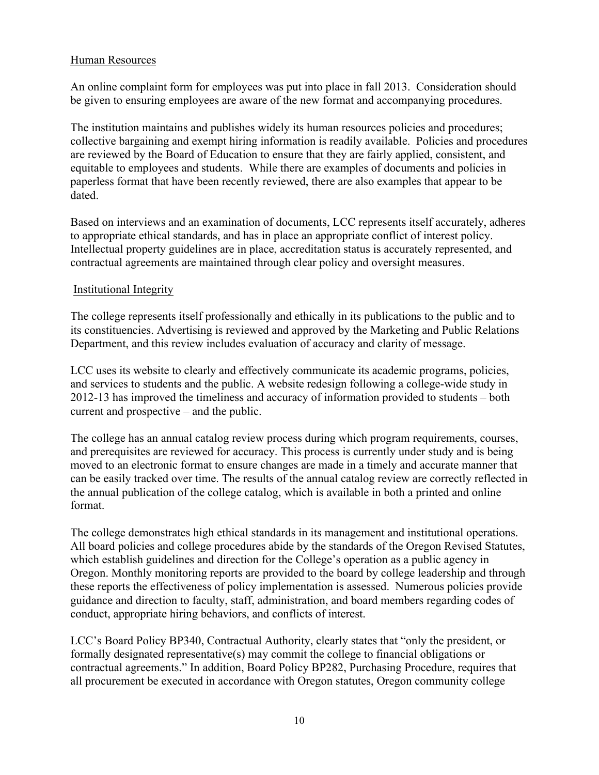# Human Resources

An online complaint form for employees was put into place in fall 2013. Consideration should be given to ensuring employees are aware of the new format and accompanying procedures.

The institution maintains and publishes widely its human resources policies and procedures; collective bargaining and exempt hiring information is readily available. Policies and procedures are reviewed by the Board of Education to ensure that they are fairly applied, consistent, and equitable to employees and students. While there are examples of documents and policies in paperless format that have been recently reviewed, there are also examples that appear to be dated.

Based on interviews and an examination of documents, LCC represents itself accurately, adheres to appropriate ethical standards, and has in place an appropriate conflict of interest policy. Intellectual property guidelines are in place, accreditation status is accurately represented, and contractual agreements are maintained through clear policy and oversight measures.

## Institutional Integrity

The college represents itself professionally and ethically in its publications to the public and to its constituencies. Advertising is reviewed and approved by the Marketing and Public Relations Department, and this review includes evaluation of accuracy and clarity of message.

LCC uses its website to clearly and effectively communicate its academic programs, policies, and services to students and the public. A website redesign following a college-wide study in 2012-13 has improved the timeliness and accuracy of information provided to students – both current and prospective – and the public.

The college has an annual catalog review process during which program requirements, courses, and prerequisites are reviewed for accuracy. This process is currently under study and is being moved to an electronic format to ensure changes are made in a timely and accurate manner that can be easily tracked over time. The results of the annual catalog review are correctly reflected in the annual publication of the college catalog, which is available in both a printed and online format.

The college demonstrates high ethical standards in its management and institutional operations. All board policies and college procedures abide by the standards of the Oregon Revised Statutes, which establish guidelines and direction for the College's operation as a public agency in Oregon. Monthly monitoring reports are provided to the board by college leadership and through these reports the effectiveness of policy implementation is assessed. Numerous policies provide guidance and direction to faculty, staff, administration, and board members regarding codes of conduct, appropriate hiring behaviors, and conflicts of interest.

LCC's Board Policy BP340, Contractual Authority, clearly states that "only the president, or formally designated representative(s) may commit the college to financial obligations or contractual agreements." In addition, Board Policy BP282, Purchasing Procedure, requires that all procurement be executed in accordance with Oregon statutes, Oregon community college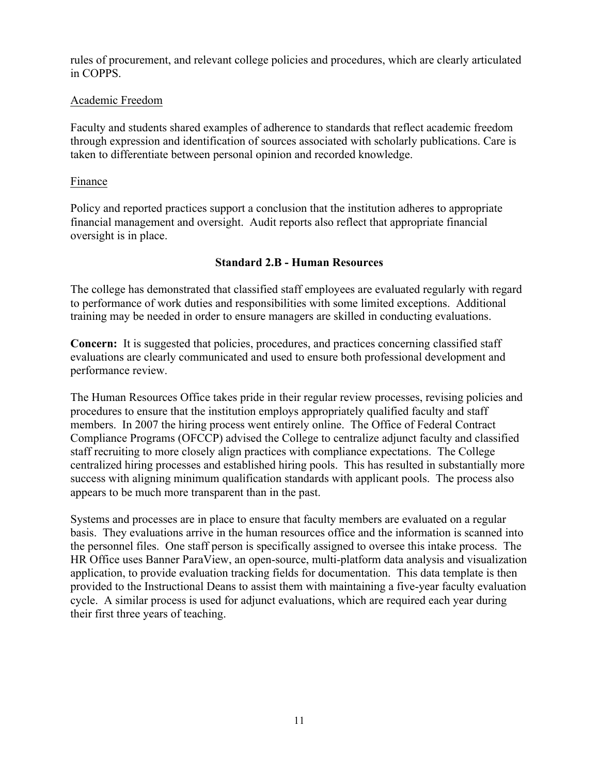rules of procurement, and relevant college policies and procedures, which are clearly articulated in COPPS.

## Academic Freedom

Faculty and students shared examples of adherence to standards that reflect academic freedom through expression and identification of sources associated with scholarly publications. Care is taken to differentiate between personal opinion and recorded knowledge.

## Finance

Policy and reported practices support a conclusion that the institution adheres to appropriate financial management and oversight. Audit reports also reflect that appropriate financial oversight is in place.

## **Standard 2.B - Human Resources**

The college has demonstrated that classified staff employees are evaluated regularly with regard to performance of work duties and responsibilities with some limited exceptions. Additional training may be needed in order to ensure managers are skilled in conducting evaluations.

**Concern:** It is suggested that policies, procedures, and practices concerning classified staff evaluations are clearly communicated and used to ensure both professional development and performance review.

The Human Resources Office takes pride in their regular review processes, revising policies and procedures to ensure that the institution employs appropriately qualified faculty and staff members. In 2007 the hiring process went entirely online. The Office of Federal Contract Compliance Programs (OFCCP) advised the College to centralize adjunct faculty and classified staff recruiting to more closely align practices with compliance expectations. The College centralized hiring processes and established hiring pools. This has resulted in substantially more success with aligning minimum qualification standards with applicant pools. The process also appears to be much more transparent than in the past.

Systems and processes are in place to ensure that faculty members are evaluated on a regular basis. They evaluations arrive in the human resources office and the information is scanned into the personnel files. One staff person is specifically assigned to oversee this intake process. The HR Office uses Banner ParaView, an open-source, multi-platform data analysis and visualization application, to provide evaluation tracking fields for documentation. This data template is then provided to the Instructional Deans to assist them with maintaining a five-year faculty evaluation cycle. A similar process is used for adjunct evaluations, which are required each year during their first three years of teaching.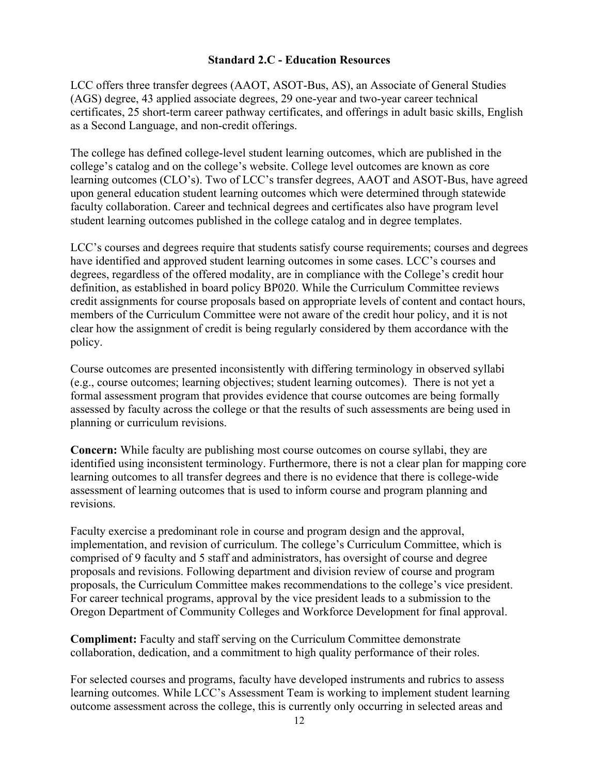## **Standard 2.C - Education Resources**

LCC offers three transfer degrees (AAOT, ASOT-Bus, AS), an Associate of General Studies (AGS) degree, 43 applied associate degrees, 29 one-year and two-year career technical certificates, 25 short-term career pathway certificates, and offerings in adult basic skills, English as a Second Language, and non-credit offerings.

The college has defined college-level student learning outcomes, which are published in the college's catalog and on the college's website. College level outcomes are known as core learning outcomes (CLO's). Two of LCC's transfer degrees, AAOT and ASOT-Bus, have agreed upon general education student learning outcomes which were determined through statewide faculty collaboration. Career and technical degrees and certificates also have program level student learning outcomes published in the college catalog and in degree templates.

LCC's courses and degrees require that students satisfy course requirements; courses and degrees have identified and approved student learning outcomes in some cases. LCC's courses and degrees, regardless of the offered modality, are in compliance with the College's credit hour definition, as established in board policy BP020. While the Curriculum Committee reviews credit assignments for course proposals based on appropriate levels of content and contact hours, members of the Curriculum Committee were not aware of the credit hour policy, and it is not clear how the assignment of credit is being regularly considered by them accordance with the policy.

Course outcomes are presented inconsistently with differing terminology in observed syllabi (e.g., course outcomes; learning objectives; student learning outcomes). There is not yet a formal assessment program that provides evidence that course outcomes are being formally assessed by faculty across the college or that the results of such assessments are being used in planning or curriculum revisions.

**Concern:** While faculty are publishing most course outcomes on course syllabi, they are identified using inconsistent terminology. Furthermore, there is not a clear plan for mapping core learning outcomes to all transfer degrees and there is no evidence that there is college-wide assessment of learning outcomes that is used to inform course and program planning and revisions.

Faculty exercise a predominant role in course and program design and the approval, implementation, and revision of curriculum. The college's Curriculum Committee, which is comprised of 9 faculty and 5 staff and administrators, has oversight of course and degree proposals and revisions. Following department and division review of course and program proposals, the Curriculum Committee makes recommendations to the college's vice president. For career technical programs, approval by the vice president leads to a submission to the Oregon Department of Community Colleges and Workforce Development for final approval.

**Compliment:** Faculty and staff serving on the Curriculum Committee demonstrate collaboration, dedication, and a commitment to high quality performance of their roles.

For selected courses and programs, faculty have developed instruments and rubrics to assess learning outcomes. While LCC's Assessment Team is working to implement student learning outcome assessment across the college, this is currently only occurring in selected areas and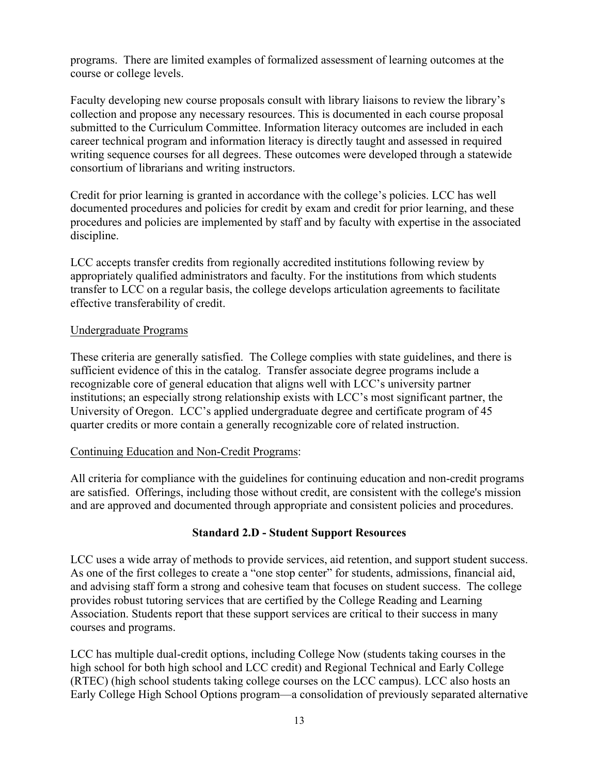programs. There are limited examples of formalized assessment of learning outcomes at the course or college levels.

Faculty developing new course proposals consult with library liaisons to review the library's collection and propose any necessary resources. This is documented in each course proposal submitted to the Curriculum Committee. Information literacy outcomes are included in each career technical program and information literacy is directly taught and assessed in required writing sequence courses for all degrees. These outcomes were developed through a statewide consortium of librarians and writing instructors.

Credit for prior learning is granted in accordance with the college's policies. LCC has well documented procedures and policies for credit by exam and credit for prior learning, and these procedures and policies are implemented by staff and by faculty with expertise in the associated discipline.

LCC accepts transfer credits from regionally accredited institutions following review by appropriately qualified administrators and faculty. For the institutions from which students transfer to LCC on a regular basis, the college develops articulation agreements to facilitate effective transferability of credit.

### Undergraduate Programs

These criteria are generally satisfied. The College complies with state guidelines, and there is sufficient evidence of this in the catalog. Transfer associate degree programs include a recognizable core of general education that aligns well with LCC's university partner institutions; an especially strong relationship exists with LCC's most significant partner, the University of Oregon. LCC's applied undergraduate degree and certificate program of 45 quarter credits or more contain a generally recognizable core of related instruction.

### Continuing Education and Non-Credit Programs:

All criteria for compliance with the guidelines for continuing education and non-credit programs are satisfied. Offerings, including those without credit, are consistent with the college's mission and are approved and documented through appropriate and consistent policies and procedures.

### **Standard 2.D - Student Support Resources**

LCC uses a wide array of methods to provide services, aid retention, and support student success. As one of the first colleges to create a "one stop center" for students, admissions, financial aid, and advising staff form a strong and cohesive team that focuses on student success. The college provides robust tutoring services that are certified by the College Reading and Learning Association. Students report that these support services are critical to their success in many courses and programs.

LCC has multiple dual-credit options, including College Now (students taking courses in the high school for both high school and LCC credit) and Regional Technical and Early College (RTEC) (high school students taking college courses on the LCC campus). LCC also hosts an Early College High School Options program—a consolidation of previously separated alternative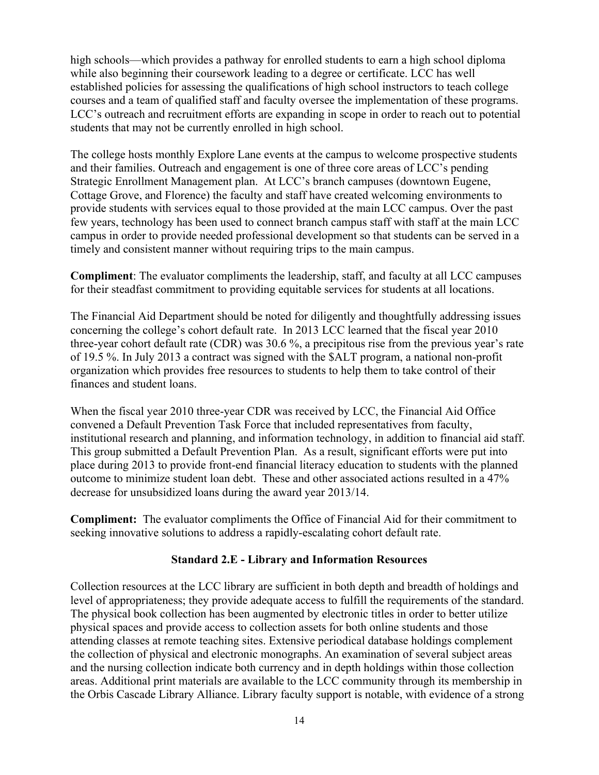high schools—which provides a pathway for enrolled students to earn a high school diploma while also beginning their coursework leading to a degree or certificate. LCC has well established policies for assessing the qualifications of high school instructors to teach college courses and a team of qualified staff and faculty oversee the implementation of these programs. LCC's outreach and recruitment efforts are expanding in scope in order to reach out to potential students that may not be currently enrolled in high school.

The college hosts monthly Explore Lane events at the campus to welcome prospective students and their families. Outreach and engagement is one of three core areas of LCC's pending Strategic Enrollment Management plan. At LCC's branch campuses (downtown Eugene, Cottage Grove, and Florence) the faculty and staff have created welcoming environments to provide students with services equal to those provided at the main LCC campus. Over the past few years, technology has been used to connect branch campus staff with staff at the main LCC campus in order to provide needed professional development so that students can be served in a timely and consistent manner without requiring trips to the main campus.

**Compliment**: The evaluator compliments the leadership, staff, and faculty at all LCC campuses for their steadfast commitment to providing equitable services for students at all locations.

The Financial Aid Department should be noted for diligently and thoughtfully addressing issues concerning the college's cohort default rate. In 2013 LCC learned that the fiscal year 2010 three-year cohort default rate (CDR) was 30.6 %, a precipitous rise from the previous year's rate of 19.5 %. In July 2013 a contract was signed with the \$ALT program, a national non-profit organization which provides free resources to students to help them to take control of their finances and student loans.

When the fiscal year 2010 three-year CDR was received by LCC, the Financial Aid Office convened a Default Prevention Task Force that included representatives from faculty, institutional research and planning, and information technology, in addition to financial aid staff. This group submitted a Default Prevention Plan. As a result, significant efforts were put into place during 2013 to provide front-end financial literacy education to students with the planned outcome to minimize student loan debt. These and other associated actions resulted in a 47% decrease for unsubsidized loans during the award year 2013/14.

**Compliment:** The evaluator compliments the Office of Financial Aid for their commitment to seeking innovative solutions to address a rapidly-escalating cohort default rate.

# **Standard 2.E - Library and Information Resources**

Collection resources at the LCC library are sufficient in both depth and breadth of holdings and level of appropriateness; they provide adequate access to fulfill the requirements of the standard. The physical book collection has been augmented by electronic titles in order to better utilize physical spaces and provide access to collection assets for both online students and those attending classes at remote teaching sites. Extensive periodical database holdings complement the collection of physical and electronic monographs. An examination of several subject areas and the nursing collection indicate both currency and in depth holdings within those collection areas. Additional print materials are available to the LCC community through its membership in the Orbis Cascade Library Alliance. Library faculty support is notable, with evidence of a strong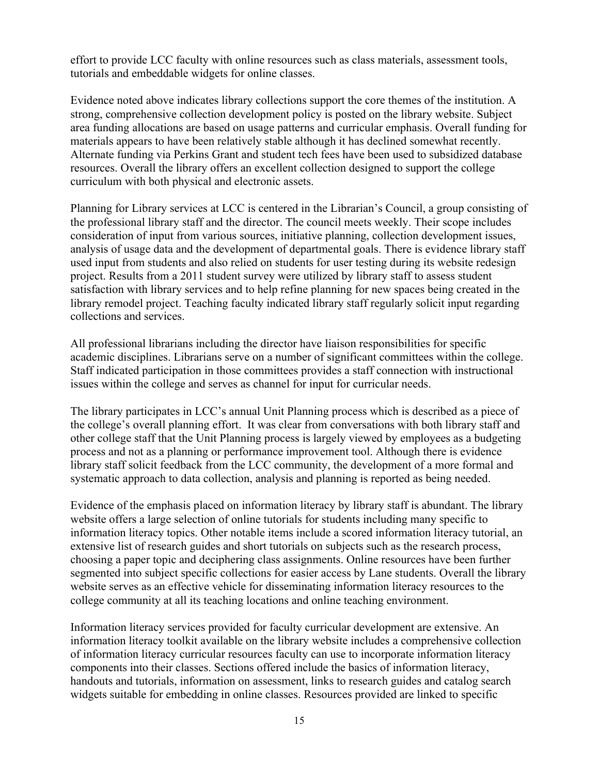effort to provide LCC faculty with online resources such as class materials, assessment tools, tutorials and embeddable widgets for online classes.

Evidence noted above indicates library collections support the core themes of the institution. A strong, comprehensive collection development policy is posted on the library website. Subject area funding allocations are based on usage patterns and curricular emphasis. Overall funding for materials appears to have been relatively stable although it has declined somewhat recently. Alternate funding via Perkins Grant and student tech fees have been used to subsidized database resources. Overall the library offers an excellent collection designed to support the college curriculum with both physical and electronic assets.

Planning for Library services at LCC is centered in the Librarian's Council, a group consisting of the professional library staff and the director. The council meets weekly. Their scope includes consideration of input from various sources, initiative planning, collection development issues, analysis of usage data and the development of departmental goals. There is evidence library staff used input from students and also relied on students for user testing during its website redesign project. Results from a 2011 student survey were utilized by library staff to assess student satisfaction with library services and to help refine planning for new spaces being created in the library remodel project. Teaching faculty indicated library staff regularly solicit input regarding collections and services.

All professional librarians including the director have liaison responsibilities for specific academic disciplines. Librarians serve on a number of significant committees within the college. Staff indicated participation in those committees provides a staff connection with instructional issues within the college and serves as channel for input for curricular needs.

The library participates in LCC's annual Unit Planning process which is described as a piece of the college's overall planning effort. It was clear from conversations with both library staff and other college staff that the Unit Planning process is largely viewed by employees as a budgeting process and not as a planning or performance improvement tool. Although there is evidence library staff solicit feedback from the LCC community, the development of a more formal and systematic approach to data collection, analysis and planning is reported as being needed.

Evidence of the emphasis placed on information literacy by library staff is abundant. The library website offers a large selection of online tutorials for students including many specific to information literacy topics. Other notable items include a scored information literacy tutorial, an extensive list of research guides and short tutorials on subjects such as the research process, choosing a paper topic and deciphering class assignments. Online resources have been further segmented into subject specific collections for easier access by Lane students. Overall the library website serves as an effective vehicle for disseminating information literacy resources to the college community at all its teaching locations and online teaching environment.

Information literacy services provided for faculty curricular development are extensive. An information literacy toolkit available on the library website includes a comprehensive collection of information literacy curricular resources faculty can use to incorporate information literacy components into their classes. Sections offered include the basics of information literacy, handouts and tutorials, information on assessment, links to research guides and catalog search widgets suitable for embedding in online classes. Resources provided are linked to specific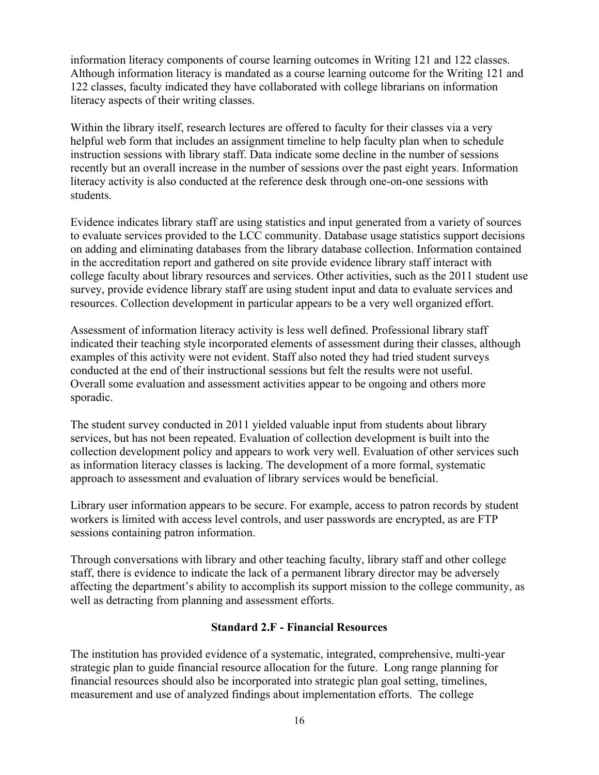information literacy components of course learning outcomes in Writing 121 and 122 classes. Although information literacy is mandated as a course learning outcome for the Writing 121 and 122 classes, faculty indicated they have collaborated with college librarians on information literacy aspects of their writing classes.

Within the library itself, research lectures are offered to faculty for their classes via a very helpful web form that includes an assignment timeline to help faculty plan when to schedule instruction sessions with library staff. Data indicate some decline in the number of sessions recently but an overall increase in the number of sessions over the past eight years. Information literacy activity is also conducted at the reference desk through one-on-one sessions with students.

Evidence indicates library staff are using statistics and input generated from a variety of sources to evaluate services provided to the LCC community. Database usage statistics support decisions on adding and eliminating databases from the library database collection. Information contained in the accreditation report and gathered on site provide evidence library staff interact with college faculty about library resources and services. Other activities, such as the 2011 student use survey, provide evidence library staff are using student input and data to evaluate services and resources. Collection development in particular appears to be a very well organized effort.

Assessment of information literacy activity is less well defined. Professional library staff indicated their teaching style incorporated elements of assessment during their classes, although examples of this activity were not evident. Staff also noted they had tried student surveys conducted at the end of their instructional sessions but felt the results were not useful. Overall some evaluation and assessment activities appear to be ongoing and others more sporadic.

The student survey conducted in 2011 yielded valuable input from students about library services, but has not been repeated. Evaluation of collection development is built into the collection development policy and appears to work very well. Evaluation of other services such as information literacy classes is lacking. The development of a more formal, systematic approach to assessment and evaluation of library services would be beneficial.

Library user information appears to be secure. For example, access to patron records by student workers is limited with access level controls, and user passwords are encrypted, as are FTP sessions containing patron information.

Through conversations with library and other teaching faculty, library staff and other college staff, there is evidence to indicate the lack of a permanent library director may be adversely affecting the department's ability to accomplish its support mission to the college community, as well as detracting from planning and assessment efforts.

### **Standard 2.F - Financial Resources**

The institution has provided evidence of a systematic, integrated, comprehensive, multi-year strategic plan to guide financial resource allocation for the future. Long range planning for financial resources should also be incorporated into strategic plan goal setting, timelines, measurement and use of analyzed findings about implementation efforts. The college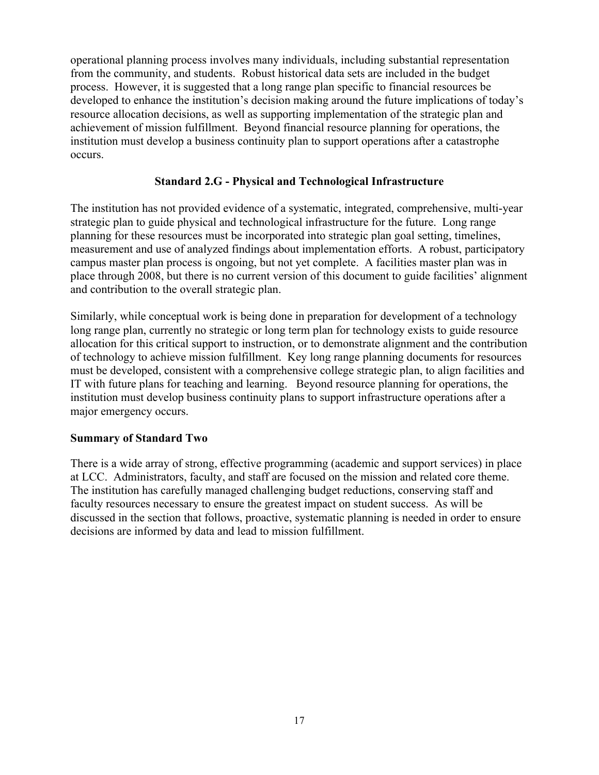operational planning process involves many individuals, including substantial representation from the community, and students. Robust historical data sets are included in the budget process. However, it is suggested that a long range plan specific to financial resources be developed to enhance the institution's decision making around the future implications of today's resource allocation decisions, as well as supporting implementation of the strategic plan and achievement of mission fulfillment. Beyond financial resource planning for operations, the institution must develop a business continuity plan to support operations after a catastrophe occurs.

# **Standard 2.G - Physical and Technological Infrastructure**

The institution has not provided evidence of a systematic, integrated, comprehensive, multi-year strategic plan to guide physical and technological infrastructure for the future. Long range planning for these resources must be incorporated into strategic plan goal setting, timelines, measurement and use of analyzed findings about implementation efforts. A robust, participatory campus master plan process is ongoing, but not yet complete. A facilities master plan was in place through 2008, but there is no current version of this document to guide facilities' alignment and contribution to the overall strategic plan.

Similarly, while conceptual work is being done in preparation for development of a technology long range plan, currently no strategic or long term plan for technology exists to guide resource allocation for this critical support to instruction, or to demonstrate alignment and the contribution of technology to achieve mission fulfillment. Key long range planning documents for resources must be developed, consistent with a comprehensive college strategic plan, to align facilities and IT with future plans for teaching and learning. Beyond resource planning for operations, the institution must develop business continuity plans to support infrastructure operations after a major emergency occurs.

### **Summary of Standard Two**

There is a wide array of strong, effective programming (academic and support services) in place at LCC. Administrators, faculty, and staff are focused on the mission and related core theme. The institution has carefully managed challenging budget reductions, conserving staff and faculty resources necessary to ensure the greatest impact on student success. As will be discussed in the section that follows, proactive, systematic planning is needed in order to ensure decisions are informed by data and lead to mission fulfillment.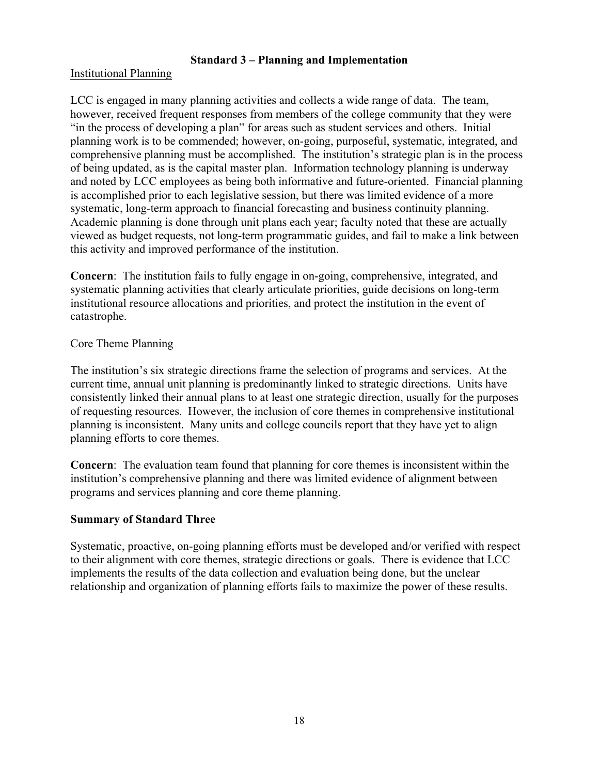# **Standard 3 – Planning and Implementation**

# Institutional Planning

LCC is engaged in many planning activities and collects a wide range of data. The team, however, received frequent responses from members of the college community that they were "in the process of developing a plan" for areas such as student services and others. Initial planning work is to be commended; however, on-going, purposeful, systematic, integrated, and comprehensive planning must be accomplished. The institution's strategic plan is in the process of being updated, as is the capital master plan. Information technology planning is underway and noted by LCC employees as being both informative and future-oriented. Financial planning is accomplished prior to each legislative session, but there was limited evidence of a more systematic, long-term approach to financial forecasting and business continuity planning. Academic planning is done through unit plans each year; faculty noted that these are actually viewed as budget requests, not long-term programmatic guides, and fail to make a link between this activity and improved performance of the institution.

**Concern**: The institution fails to fully engage in on-going, comprehensive, integrated, and systematic planning activities that clearly articulate priorities, guide decisions on long-term institutional resource allocations and priorities, and protect the institution in the event of catastrophe.

## Core Theme Planning

The institution's six strategic directions frame the selection of programs and services. At the current time, annual unit planning is predominantly linked to strategic directions. Units have consistently linked their annual plans to at least one strategic direction, usually for the purposes of requesting resources. However, the inclusion of core themes in comprehensive institutional planning is inconsistent. Many units and college councils report that they have yet to align planning efforts to core themes.

**Concern**: The evaluation team found that planning for core themes is inconsistent within the institution's comprehensive planning and there was limited evidence of alignment between programs and services planning and core theme planning.

# **Summary of Standard Three**

Systematic, proactive, on-going planning efforts must be developed and/or verified with respect to their alignment with core themes, strategic directions or goals. There is evidence that LCC implements the results of the data collection and evaluation being done, but the unclear relationship and organization of planning efforts fails to maximize the power of these results.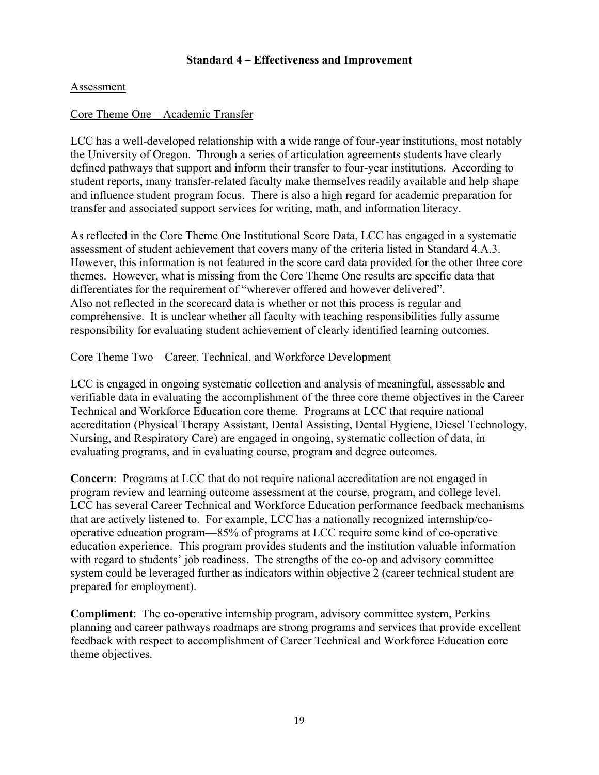## **Standard 4 – Effectiveness and Improvement**

## Assessment

## Core Theme One – Academic Transfer

LCC has a well-developed relationship with a wide range of four-year institutions, most notably the University of Oregon. Through a series of articulation agreements students have clearly defined pathways that support and inform their transfer to four-year institutions. According to student reports, many transfer-related faculty make themselves readily available and help shape and influence student program focus. There is also a high regard for academic preparation for transfer and associated support services for writing, math, and information literacy.

As reflected in the Core Theme One Institutional Score Data, LCC has engaged in a systematic assessment of student achievement that covers many of the criteria listed in Standard 4.A.3. However, this information is not featured in the score card data provided for the other three core themes. However, what is missing from the Core Theme One results are specific data that differentiates for the requirement of "wherever offered and however delivered". Also not reflected in the scorecard data is whether or not this process is regular and comprehensive. It is unclear whether all faculty with teaching responsibilities fully assume responsibility for evaluating student achievement of clearly identified learning outcomes.

### Core Theme Two – Career, Technical, and Workforce Development

LCC is engaged in ongoing systematic collection and analysis of meaningful, assessable and verifiable data in evaluating the accomplishment of the three core theme objectives in the Career Technical and Workforce Education core theme. Programs at LCC that require national accreditation (Physical Therapy Assistant, Dental Assisting, Dental Hygiene, Diesel Technology, Nursing, and Respiratory Care) are engaged in ongoing, systematic collection of data, in evaluating programs, and in evaluating course, program and degree outcomes.

**Concern**: Programs at LCC that do not require national accreditation are not engaged in program review and learning outcome assessment at the course, program, and college level. LCC has several Career Technical and Workforce Education performance feedback mechanisms that are actively listened to. For example, LCC has a nationally recognized internship/cooperative education program—85% of programs at LCC require some kind of co-operative education experience. This program provides students and the institution valuable information with regard to students' job readiness. The strengths of the co-op and advisory committee system could be leveraged further as indicators within objective 2 (career technical student are prepared for employment).

**Compliment**: The co-operative internship program, advisory committee system, Perkins planning and career pathways roadmaps are strong programs and services that provide excellent feedback with respect to accomplishment of Career Technical and Workforce Education core theme objectives.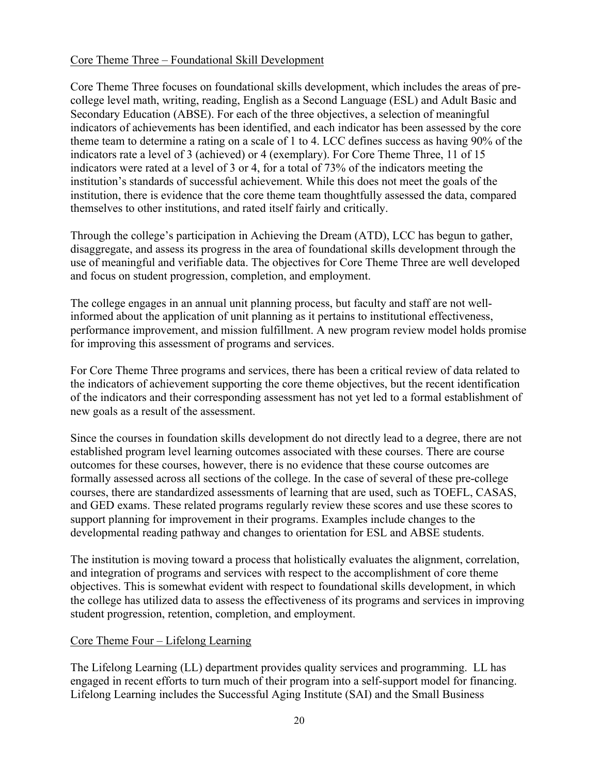# Core Theme Three – Foundational Skill Development

Core Theme Three focuses on foundational skills development, which includes the areas of precollege level math, writing, reading, English as a Second Language (ESL) and Adult Basic and Secondary Education (ABSE). For each of the three objectives, a selection of meaningful indicators of achievements has been identified, and each indicator has been assessed by the core theme team to determine a rating on a scale of 1 to 4. LCC defines success as having 90% of the indicators rate a level of 3 (achieved) or 4 (exemplary). For Core Theme Three, 11 of 15 indicators were rated at a level of 3 or 4, for a total of 73% of the indicators meeting the institution's standards of successful achievement. While this does not meet the goals of the institution, there is evidence that the core theme team thoughtfully assessed the data, compared themselves to other institutions, and rated itself fairly and critically.

Through the college's participation in Achieving the Dream (ATD), LCC has begun to gather, disaggregate, and assess its progress in the area of foundational skills development through the use of meaningful and verifiable data. The objectives for Core Theme Three are well developed and focus on student progression, completion, and employment.

The college engages in an annual unit planning process, but faculty and staff are not wellinformed about the application of unit planning as it pertains to institutional effectiveness, performance improvement, and mission fulfillment. A new program review model holds promise for improving this assessment of programs and services.

For Core Theme Three programs and services, there has been a critical review of data related to the indicators of achievement supporting the core theme objectives, but the recent identification of the indicators and their corresponding assessment has not yet led to a formal establishment of new goals as a result of the assessment.

Since the courses in foundation skills development do not directly lead to a degree, there are not established program level learning outcomes associated with these courses. There are course outcomes for these courses, however, there is no evidence that these course outcomes are formally assessed across all sections of the college. In the case of several of these pre-college courses, there are standardized assessments of learning that are used, such as TOEFL, CASAS, and GED exams. These related programs regularly review these scores and use these scores to support planning for improvement in their programs. Examples include changes to the developmental reading pathway and changes to orientation for ESL and ABSE students.

The institution is moving toward a process that holistically evaluates the alignment, correlation, and integration of programs and services with respect to the accomplishment of core theme objectives. This is somewhat evident with respect to foundational skills development, in which the college has utilized data to assess the effectiveness of its programs and services in improving student progression, retention, completion, and employment.

### Core Theme Four – Lifelong Learning

The Lifelong Learning (LL) department provides quality services and programming. LL has engaged in recent efforts to turn much of their program into a self-support model for financing. Lifelong Learning includes the Successful Aging Institute (SAI) and the Small Business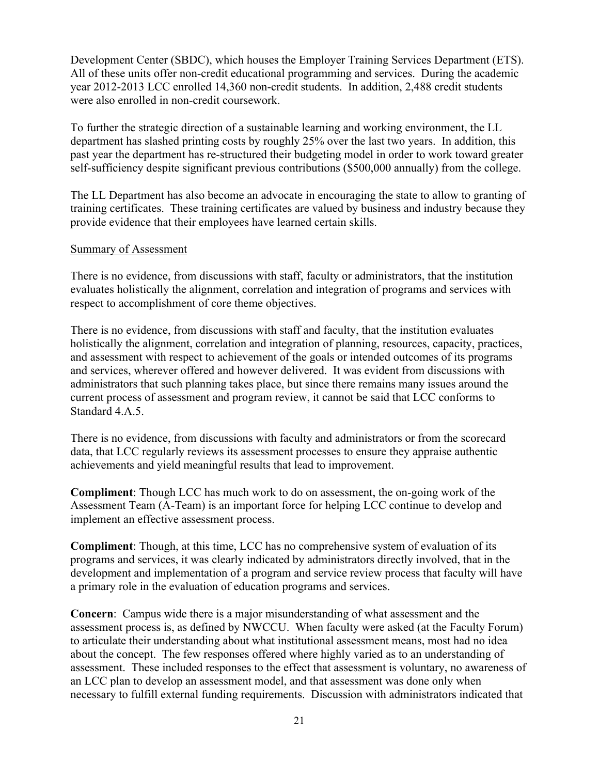Development Center (SBDC), which houses the Employer Training Services Department (ETS). All of these units offer non-credit educational programming and services. During the academic year 2012-2013 LCC enrolled 14,360 non-credit students. In addition, 2,488 credit students were also enrolled in non-credit coursework.

To further the strategic direction of a sustainable learning and working environment, the LL department has slashed printing costs by roughly 25% over the last two years. In addition, this past year the department has re-structured their budgeting model in order to work toward greater self-sufficiency despite significant previous contributions (\$500,000 annually) from the college.

The LL Department has also become an advocate in encouraging the state to allow to granting of training certificates. These training certificates are valued by business and industry because they provide evidence that their employees have learned certain skills.

### Summary of Assessment

There is no evidence, from discussions with staff, faculty or administrators, that the institution evaluates holistically the alignment, correlation and integration of programs and services with respect to accomplishment of core theme objectives.

There is no evidence, from discussions with staff and faculty, that the institution evaluates holistically the alignment, correlation and integration of planning, resources, capacity, practices, and assessment with respect to achievement of the goals or intended outcomes of its programs and services, wherever offered and however delivered. It was evident from discussions with administrators that such planning takes place, but since there remains many issues around the current process of assessment and program review, it cannot be said that LCC conforms to Standard 4.A.5.

There is no evidence, from discussions with faculty and administrators or from the scorecard data, that LCC regularly reviews its assessment processes to ensure they appraise authentic achievements and yield meaningful results that lead to improvement.

**Compliment**: Though LCC has much work to do on assessment, the on-going work of the Assessment Team (A-Team) is an important force for helping LCC continue to develop and implement an effective assessment process.

**Compliment**: Though, at this time, LCC has no comprehensive system of evaluation of its programs and services, it was clearly indicated by administrators directly involved, that in the development and implementation of a program and service review process that faculty will have a primary role in the evaluation of education programs and services.

**Concern**: Campus wide there is a major misunderstanding of what assessment and the assessment process is, as defined by NWCCU. When faculty were asked (at the Faculty Forum) to articulate their understanding about what institutional assessment means, most had no idea about the concept. The few responses offered where highly varied as to an understanding of assessment. These included responses to the effect that assessment is voluntary, no awareness of an LCC plan to develop an assessment model, and that assessment was done only when necessary to fulfill external funding requirements. Discussion with administrators indicated that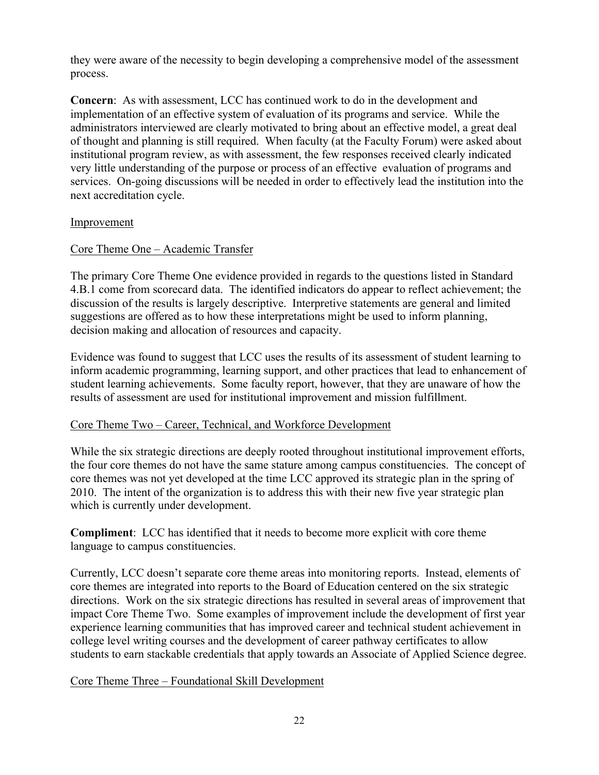they were aware of the necessity to begin developing a comprehensive model of the assessment process.

**Concern**: As with assessment, LCC has continued work to do in the development and implementation of an effective system of evaluation of its programs and service. While the administrators interviewed are clearly motivated to bring about an effective model, a great deal of thought and planning is still required. When faculty (at the Faculty Forum) were asked about institutional program review, as with assessment, the few responses received clearly indicated very little understanding of the purpose or process of an effective evaluation of programs and services. On-going discussions will be needed in order to effectively lead the institution into the next accreditation cycle.

## Improvement

# Core Theme One – Academic Transfer

The primary Core Theme One evidence provided in regards to the questions listed in Standard 4.B.1 come from scorecard data. The identified indicators do appear to reflect achievement; the discussion of the results is largely descriptive. Interpretive statements are general and limited suggestions are offered as to how these interpretations might be used to inform planning, decision making and allocation of resources and capacity.

Evidence was found to suggest that LCC uses the results of its assessment of student learning to inform academic programming, learning support, and other practices that lead to enhancement of student learning achievements. Some faculty report, however, that they are unaware of how the results of assessment are used for institutional improvement and mission fulfillment.

### Core Theme Two – Career, Technical, and Workforce Development

While the six strategic directions are deeply rooted throughout institutional improvement efforts, the four core themes do not have the same stature among campus constituencies. The concept of core themes was not yet developed at the time LCC approved its strategic plan in the spring of 2010. The intent of the organization is to address this with their new five year strategic plan which is currently under development.

**Compliment**: LCC has identified that it needs to become more explicit with core theme language to campus constituencies.

Currently, LCC doesn't separate core theme areas into monitoring reports. Instead, elements of core themes are integrated into reports to the Board of Education centered on the six strategic directions. Work on the six strategic directions has resulted in several areas of improvement that impact Core Theme Two. Some examples of improvement include the development of first year experience learning communities that has improved career and technical student achievement in college level writing courses and the development of career pathway certificates to allow students to earn stackable credentials that apply towards an Associate of Applied Science degree.

# Core Theme Three – Foundational Skill Development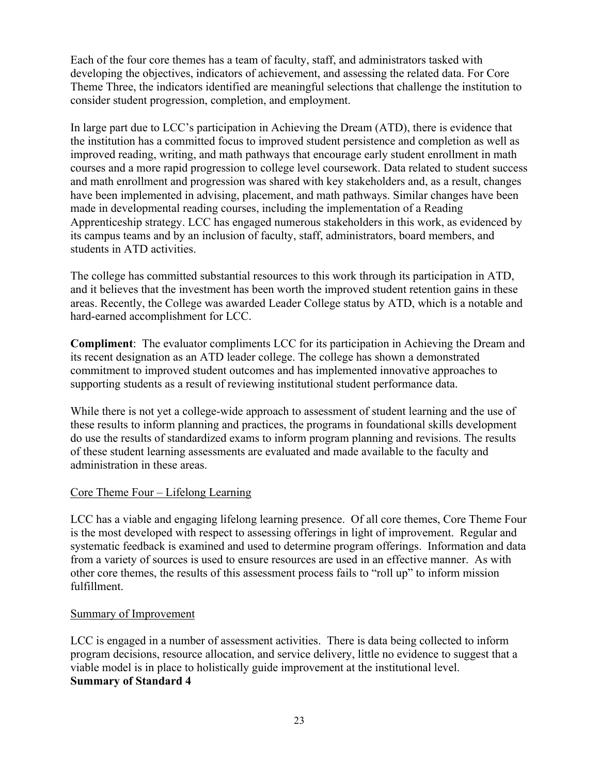Each of the four core themes has a team of faculty, staff, and administrators tasked with developing the objectives, indicators of achievement, and assessing the related data. For Core Theme Three, the indicators identified are meaningful selections that challenge the institution to consider student progression, completion, and employment.

In large part due to LCC's participation in Achieving the Dream (ATD), there is evidence that the institution has a committed focus to improved student persistence and completion as well as improved reading, writing, and math pathways that encourage early student enrollment in math courses and a more rapid progression to college level coursework. Data related to student success and math enrollment and progression was shared with key stakeholders and, as a result, changes have been implemented in advising, placement, and math pathways. Similar changes have been made in developmental reading courses, including the implementation of a Reading Apprenticeship strategy. LCC has engaged numerous stakeholders in this work, as evidenced by its campus teams and by an inclusion of faculty, staff, administrators, board members, and students in ATD activities.

The college has committed substantial resources to this work through its participation in ATD, and it believes that the investment has been worth the improved student retention gains in these areas. Recently, the College was awarded Leader College status by ATD, which is a notable and hard-earned accomplishment for LCC.

**Compliment**: The evaluator compliments LCC for its participation in Achieving the Dream and its recent designation as an ATD leader college. The college has shown a demonstrated commitment to improved student outcomes and has implemented innovative approaches to supporting students as a result of reviewing institutional student performance data.

While there is not yet a college-wide approach to assessment of student learning and the use of these results to inform planning and practices, the programs in foundational skills development do use the results of standardized exams to inform program planning and revisions. The results of these student learning assessments are evaluated and made available to the faculty and administration in these areas.

# Core Theme Four – Lifelong Learning

LCC has a viable and engaging lifelong learning presence. Of all core themes, Core Theme Four is the most developed with respect to assessing offerings in light of improvement. Regular and systematic feedback is examined and used to determine program offerings. Information and data from a variety of sources is used to ensure resources are used in an effective manner. As with other core themes, the results of this assessment process fails to "roll up" to inform mission fulfillment.

# Summary of Improvement

LCC is engaged in a number of assessment activities. There is data being collected to inform program decisions, resource allocation, and service delivery, little no evidence to suggest that a viable model is in place to holistically guide improvement at the institutional level. **Summary of Standard 4**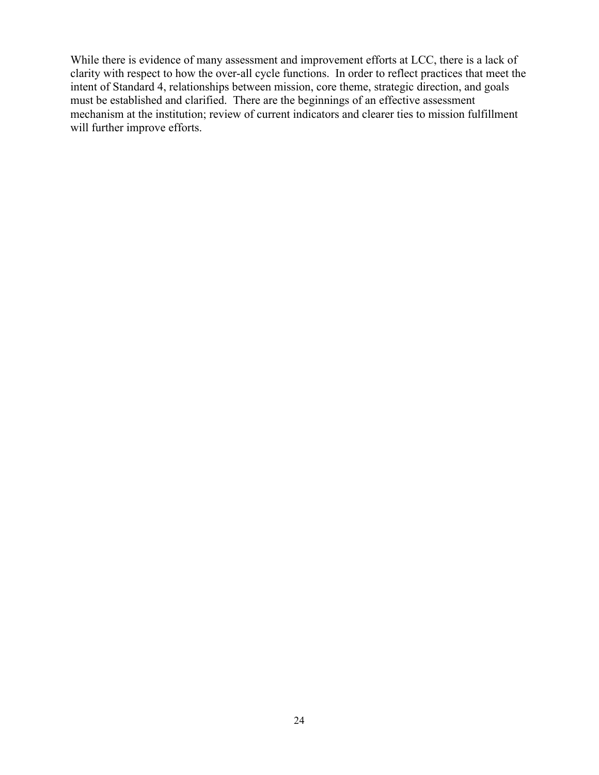While there is evidence of many assessment and improvement efforts at LCC, there is a lack of clarity with respect to how the over-all cycle functions. In order to reflect practices that meet the intent of Standard 4, relationships between mission, core theme, strategic direction, and goals must be established and clarified. There are the beginnings of an effective assessment mechanism at the institution; review of current indicators and clearer ties to mission fulfillment will further improve efforts.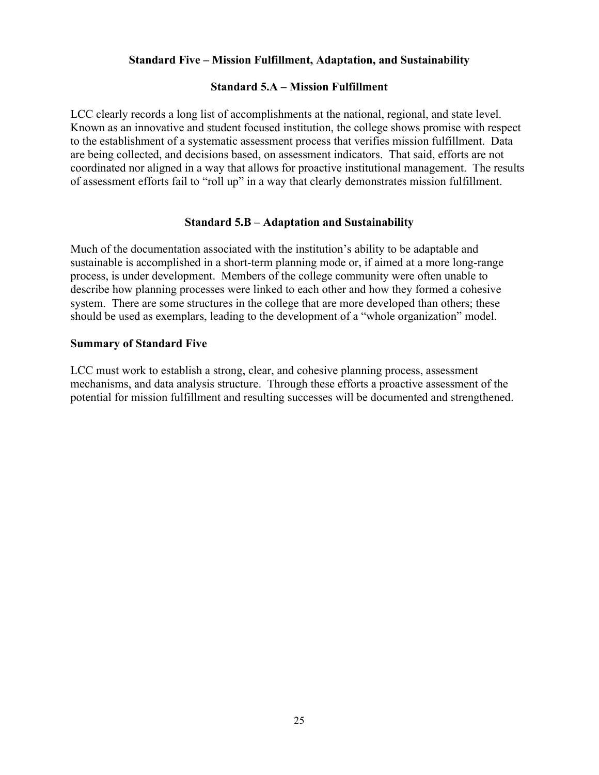## **Standard Five – Mission Fulfillment, Adaptation, and Sustainability**

### **Standard 5.A – Mission Fulfillment**

LCC clearly records a long list of accomplishments at the national, regional, and state level. Known as an innovative and student focused institution, the college shows promise with respect to the establishment of a systematic assessment process that verifies mission fulfillment. Data are being collected, and decisions based, on assessment indicators. That said, efforts are not coordinated nor aligned in a way that allows for proactive institutional management. The results of assessment efforts fail to "roll up" in a way that clearly demonstrates mission fulfillment.

#### **Standard 5.B – Adaptation and Sustainability**

Much of the documentation associated with the institution's ability to be adaptable and sustainable is accomplished in a short-term planning mode or, if aimed at a more long-range process, is under development. Members of the college community were often unable to describe how planning processes were linked to each other and how they formed a cohesive system. There are some structures in the college that are more developed than others; these should be used as exemplars, leading to the development of a "whole organization" model.

#### **Summary of Standard Five**

LCC must work to establish a strong, clear, and cohesive planning process, assessment mechanisms, and data analysis structure. Through these efforts a proactive assessment of the potential for mission fulfillment and resulting successes will be documented and strengthened.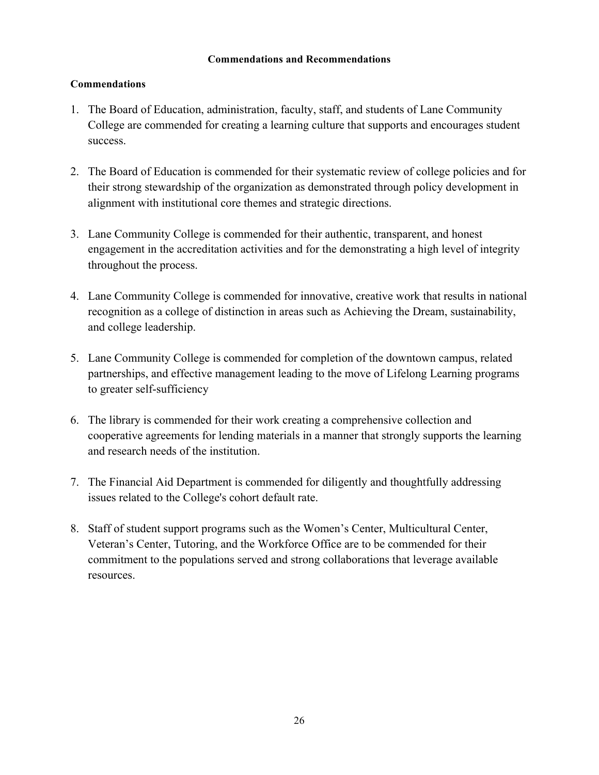## **Commendations and Recommendations**

# **Commendations**

- 1. The Board of Education, administration, faculty, staff, and students of Lane Community College are commended for creating a learning culture that supports and encourages student success.
- 2. The Board of Education is commended for their systematic review of college policies and for their strong stewardship of the organization as demonstrated through policy development in alignment with institutional core themes and strategic directions.
- 3. Lane Community College is commended for their authentic, transparent, and honest engagement in the accreditation activities and for the demonstrating a high level of integrity throughout the process.
- 4. Lane Community College is commended for innovative, creative work that results in national recognition as a college of distinction in areas such as Achieving the Dream, sustainability, and college leadership.
- 5. Lane Community College is commended for completion of the downtown campus, related partnerships, and effective management leading to the move of Lifelong Learning programs to greater self-sufficiency
- 6. The library is commended for their work creating a comprehensive collection and cooperative agreements for lending materials in a manner that strongly supports the learning and research needs of the institution.
- 7. The Financial Aid Department is commended for diligently and thoughtfully addressing issues related to the College's cohort default rate.
- 8. Staff of student support programs such as the Women's Center, Multicultural Center, Veteran's Center, Tutoring, and the Workforce Office are to be commended for their commitment to the populations served and strong collaborations that leverage available resources.